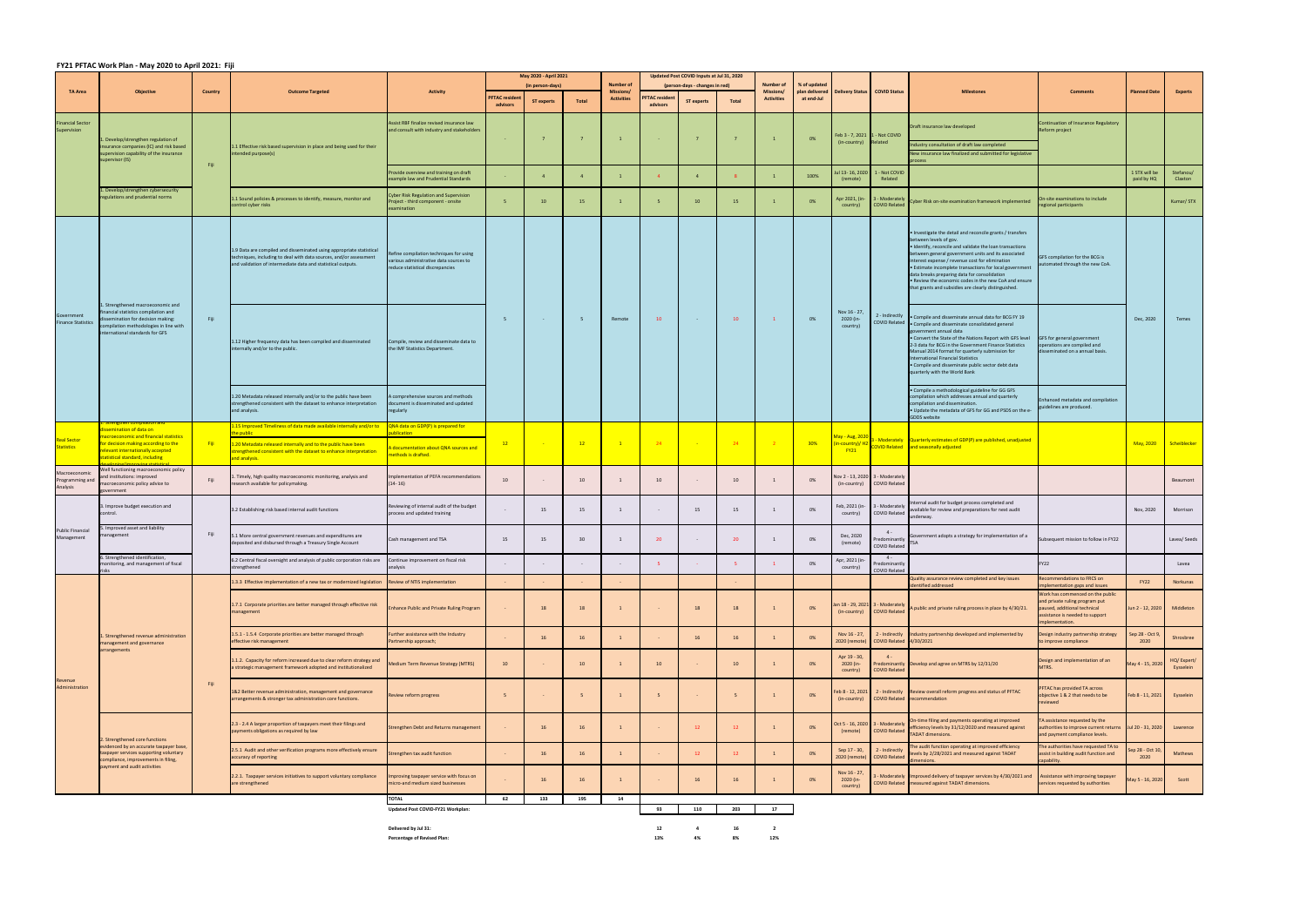## **FY21 PFTAC Work Plan ‐ May 2020 to April 2021: Fiji**

|                                              |                                                                                                                                                                                                                       | Country | <b>Outcome Targeted</b>                                                                                                                                                                                    |                                                                                                                       | May 2020 - April 2021<br>(in person-days) |                   |                | <b>Number of</b>                      |                                   | Updated Post COVID Inputs at Jul 31, 2020<br>(person-days - changes in red) |              | Number of                      |                                              |                                               |                                                |                                                                                                                                                                                                                                                                                                                                                                                                                                                                                       |                                                                                                                                                       |                             |                         |
|----------------------------------------------|-----------------------------------------------------------------------------------------------------------------------------------------------------------------------------------------------------------------------|---------|------------------------------------------------------------------------------------------------------------------------------------------------------------------------------------------------------------|-----------------------------------------------------------------------------------------------------------------------|-------------------------------------------|-------------------|----------------|---------------------------------------|-----------------------------------|-----------------------------------------------------------------------------|--------------|--------------------------------|----------------------------------------------|-----------------------------------------------|------------------------------------------------|---------------------------------------------------------------------------------------------------------------------------------------------------------------------------------------------------------------------------------------------------------------------------------------------------------------------------------------------------------------------------------------------------------------------------------------------------------------------------------------|-------------------------------------------------------------------------------------------------------------------------------------------------------|-----------------------------|-------------------------|
| <b>TA Area</b>                               | <b>Objective</b>                                                                                                                                                                                                      |         |                                                                                                                                                                                                            | <b>Activity</b>                                                                                                       | PFTAC residen<br>advisors                 | <b>ST experts</b> | Total          | <b>Missions/</b><br><b>Activities</b> | <b>PFTAC</b> resident<br>advisors | <b>ST experts</b>                                                           | <b>Total</b> | Missions/<br><b>Activities</b> | % of updated<br>plan delivered<br>at end-Jul | <b>Delivery Status</b>                        | <b>COVID Status</b>                            | <b>Milestones</b>                                                                                                                                                                                                                                                                                                                                                                                                                                                                     | <b>Comments</b>                                                                                                                                       | <b>Planned Date</b>         | <b>Experts</b>          |
| inancial Sector<br>Supervision               | . Develop/strengthen regulation of<br>nsurance companies (IC) and risk based<br>supervision capability of the insurance<br>supervisor (IS)<br>1. Develop/strengthen cybersecurity<br>regulations and prudential norms | Fiji    | 1.1 Effective risk based supervision in place and being used for their<br>ntended purpose(s)                                                                                                               | Assist RBF finalize revised insurance law<br>and consult with industry and stakeholders                               |                                           |                   | $\overline{7}$ | $\mathbf{1}$                          |                                   |                                                                             | $7^{\circ}$  |                                | 0%                                           | Feb 3 - 7, 2021 1 - Not COVID<br>(in-country) | Related                                        | Draft insurance law developed<br>Industry consultation of draft law completed<br>New insurance law finalized and submitted for legislative<br>rocess                                                                                                                                                                                                                                                                                                                                  | Continuation of Insurance Regulatory<br>Reform project                                                                                                |                             |                         |
|                                              |                                                                                                                                                                                                                       |         |                                                                                                                                                                                                            | Provide overview and training on draft<br>example law and Prudential Standards                                        |                                           | $\overline{4}$    | $\overline{4}$ |                                       | $\overline{4}$                    | $\overline{4}$                                                              |              |                                | 100%                                         | 13- 16, 2020 اد<br>(remote)                   | - Not COVID<br>Related                         |                                                                                                                                                                                                                                                                                                                                                                                                                                                                                       |                                                                                                                                                       | 1 STX will be<br>paid by HQ | Stefanou/<br>Claxton    |
|                                              |                                                                                                                                                                                                                       |         | 1.1 Sound policies & processes to identify, measure, monitor and<br>control cyber risks                                                                                                                    | <b>Cyber Risk Regulation and Supervision</b><br>roject - third component - onsite<br>examination                      | - 5                                       | $10-10$           | 15             | $\mathbf{1}$                          | 5                                 | $10-10$                                                                     | 15           |                                | 0%                                           | Apr 2021, (in-<br>country)                    | - Moderately<br><b>COVID Related</b>           | Cyber Risk on-site examination framework implemented                                                                                                                                                                                                                                                                                                                                                                                                                                  | n-site examinations to include<br>egional participants                                                                                                |                             | Kumar/ STX              |
| Government<br><b>Finance Statistics</b>      | 1. Strengthened macroeconomic and<br>financial statistics compilation and<br>issemination for decision making:<br>compilation methodologies in line with<br>international standards for GFS                           |         | 1.9 Data are compiled and disseminated using appropriate statistical<br>techniques, including to deal with data sources, and/or assessment<br>and validation of intermediate data and statistical outputs. | Refine compilation techniques for using<br>various administrative data sources to<br>reduce statistical discrepancies | 5                                         |                   | - 5            | Remote                                | 10                                | <b>Contract</b>                                                             | 10           | $\mathbf{1}$                   |                                              | Nov 16 - 27,<br>2020 (in-<br>country)         | 2 - Indirectly                                 | . Investigate the detail and reconcile grants / transfers<br>between levels of gov.<br>. Identify, reconcile and validate the loan transactions<br>between general government units and its associated<br>interest expense / revenue cost for elimination<br>• Estimate incomplete transactions for local government<br>data breaks preparing data for consolidation<br>. Review the economic codes in the new CoA and ensure<br>that grants and subsidies are clearly distinguished. | GFS compilation for the BCG is<br>utomated through the new CoA.                                                                                       |                             |                         |
|                                              |                                                                                                                                                                                                                       | Fiji    | 1.12 Higher frequency data has been compiled and disseminated<br>internally and/or to the public.                                                                                                          | Compile, review and disseminate data to<br>the IMF Statistics Department.                                             |                                           |                   |                |                                       |                                   |                                                                             |              |                                | 0%                                           |                                               |                                                | . Compile and disseminate annual data for BCG FY 19<br>COVID Related . Compile and disseminate consolidated general<br>overnment annual data<br>• Convert the State of the Nations Report with GFS level<br>2-3 data for BCG in the Government Finance Statistics<br>Manual 2014 format for quarterly submission for<br>International Financial Statistics<br>· Compile and disseminate public sector debt data<br>quarterly with the World Bank                                      | GFS for general government<br>operations are compiled and<br>isseminated on a annual basis.                                                           | Dec, 2020                   | Temes                   |
|                                              |                                                                                                                                                                                                                       |         | 1.20 Metadata released internally and/or to the public have been<br>strengthened consistent with the dataset to enhance interpretation<br>and analysis.                                                    | A comprehensive sources and methods<br>document is disseminated and updated<br>regularly                              |                                           |                   |                |                                       |                                   |                                                                             |              |                                |                                              |                                               |                                                | • Compile a methodological guideline for GG GFS<br>compilation which addresses annual and quarterly<br>compilation and dissemination.<br>. Update the metadata of GFS for GG and PSDS on the e-<br><b>GDDS</b> website                                                                                                                                                                                                                                                                | hanced metadata and compilation<br>uidelines are produced.                                                                                            |                             |                         |
|                                              | ssemination of data on                                                                                                                                                                                                |         | .15 Improved Timeliness of data made available internally and/or to<br>ne public                                                                                                                           | QNA data on GDP(P) is prepared for<br>blication                                                                       |                                           |                   |                |                                       |                                   |                                                                             |              |                                |                                              |                                               |                                                |                                                                                                                                                                                                                                                                                                                                                                                                                                                                                       |                                                                                                                                                       |                             |                         |
| eal Sector<br>tatistics                      | acroeconomic and financial statistics<br>or decision making according to the<br>elevant internationally accepted<br>tatistical standard, including                                                                    | - Fiji  | 1.20 Metadata released internally and to the public have been<br>strengthened consistent with the dataset to enhance interpretation<br>and analysis.                                                       | A documentation about QNA sources and<br>nethods is drafted.                                                          | 12                                        |                   | 12             | $\blacksquare$                        | 24                                |                                                                             | 24           |                                | 30%                                          | May - Aug, 202<br>in-country)/ H<br>$-Y21$    |                                                | - Moderately   Quarterly estimates of GDP(P) are published, unadjusted<br>OVID Related and seasonally adjusted                                                                                                                                                                                                                                                                                                                                                                        |                                                                                                                                                       | May, 2020                   | Scheiblecker            |
| Macroeconomic<br>Programming and<br>Analysis | Well functioning macroeconomic policy<br>and institutions: improved<br>macroeconomic policy advice to<br>government                                                                                                   | Fiji    | Timely, high quality macroeconomic monitoring, analysis and<br>research available for policymaking.                                                                                                        | Implementation of PEFA recommendations<br>$(14 - 16)$                                                                 | 10                                        |                   | 10             |                                       | 10                                |                                                                             | 10           |                                | 0%                                           | Vov 2 - 13, 2020<br>(in-country)              | 3 - Moderately<br><b>COVID Related</b>         |                                                                                                                                                                                                                                                                                                                                                                                                                                                                                       |                                                                                                                                                       |                             | Beaumont                |
| <b>Public Financial</b><br>Management        | 3. Improve budget execution and<br>control.                                                                                                                                                                           | Fiji    | 3.2 Establishing risk based internal audit functions                                                                                                                                                       | Reviewing of internal audit of the budget<br>process and updated training                                             |                                           | 15                | 15             | 1                                     | $\sim$                            | 15                                                                          | 15           |                                | 0%                                           | Feb, 2021 (in-<br>country)                    | - Moderately<br>COVID Related                  | ternal audit for budget process completed and<br>available for review and preparations for next audit<br>underway.                                                                                                                                                                                                                                                                                                                                                                    |                                                                                                                                                       | Nov, 2020                   | Morrison                |
|                                              | Improved asset and liability<br>anagement                                                                                                                                                                             |         | 5.1 More central government revenues and expenditures are<br>deposited and disbursed through a Treasury Single Account                                                                                     | Cash management and TSA                                                                                               | 15                                        | 15                | 30             | 1                                     | 20                                |                                                                             | 20           |                                | 0%                                           | Dec, 2020<br>(remote)                         | $4 -$<br>redominantly<br>COVID Related         | vernment adopts a strategy for implementation of a                                                                                                                                                                                                                                                                                                                                                                                                                                    | Subsequent mission to follow in FY22                                                                                                                  |                             | Lavea/ Seeds            |
|                                              | 6. Strengthened identification,<br>monitoring, and management of fiscal                                                                                                                                               |         | 2 Central fiscal oversight and analysis of public corporation risks are<br>trengthened                                                                                                                     | ntinue improvement on fiscal risk<br>analysis                                                                         |                                           |                   |                |                                       |                                   |                                                                             |              |                                | 0%                                           | Apr, 2021 (in-<br>country)                    | $4 -$<br>Predominantly<br><b>COVID Related</b> |                                                                                                                                                                                                                                                                                                                                                                                                                                                                                       | FY22                                                                                                                                                  |                             | Lavea                   |
| Revenue<br>Administration                    | L. Strengthened revenue administration<br>management and governance<br>arrangements                                                                                                                                   |         | .3.3 Effective implementation of a new tax or modernized legislation Review of NTIS implementation                                                                                                         |                                                                                                                       |                                           |                   |                |                                       |                                   |                                                                             |              |                                |                                              |                                               |                                                | Quality assurance review completed and key issues<br>dentified addressed                                                                                                                                                                                                                                                                                                                                                                                                              | Recommendations to FRCS on<br>nplementation gaps and issues                                                                                           | FY22                        | Norkunas                |
|                                              |                                                                                                                                                                                                                       |         | .7.1 Corporate priorities are better managed through effective risk<br>nanagement                                                                                                                          | <b>Enhance Public and Private Ruling Program</b>                                                                      |                                           | 18                | 18             |                                       |                                   | 18                                                                          | 18           |                                | 0%                                           | an 18 - 29, 2021<br>(in-country)              | - Moderately<br><b>COVID Related</b>           | A public and private ruling process in place by 4/30/21.                                                                                                                                                                                                                                                                                                                                                                                                                              | Work has commenced on the public<br>and private ruling program put<br>aused, additional technical<br>ssistance is needed to support<br>nplementation. | un 2 - 12, 2020             | Middleton               |
|                                              |                                                                                                                                                                                                                       |         | 1.5.1 - 1.5.4 Corporate priorities are better managed through<br>effective risk management                                                                                                                 | Further assistance with the Industry<br>Partnership approach;                                                         |                                           | 16                | 16             | $\mathbf{1}$                          |                                   | 16                                                                          | 16           |                                | 0%                                           | Nov 16 - 27,<br>2020 (remote)                 | 2 - Indirectly<br>COVID Related 4/30/2021      | Industry partnership developed and implemented by                                                                                                                                                                                                                                                                                                                                                                                                                                     | Design industry partnership strategy<br>o improve compliance                                                                                          | iep 28 - Oct 9<br>2020      | Shrosbree               |
|                                              |                                                                                                                                                                                                                       | Fiji    | 1.1.2. Capacity for reform increased due to clear reform strategy and<br>a strategic management framework adopted and institutionalized                                                                    | Medium Term Revenue Strategy (MTRS)                                                                                   | 10                                        |                   | 10             |                                       | 10                                |                                                                             | 10           |                                | 0%                                           | Apr 19 - 30,<br>2020 (in-<br>country)         | $4 -$<br><b>COVID Related</b>                  | Predominantly Develop and agree on MTRS by 12/31/20                                                                                                                                                                                                                                                                                                                                                                                                                                   | Design and implementation of an<br>MTRS.                                                                                                              | May 4 - 15, 2020            | HQ/Expert/<br>Eysselein |
|                                              |                                                                                                                                                                                                                       |         | L&2 Better revenue administration, management and governance<br>rrangements & stronger tax administration core functions.                                                                                  | Review reform progress                                                                                                | 5                                         |                   | 5              |                                       | 5                                 |                                                                             | 5            |                                | 0%                                           | eb 8 - 12, 2021<br>(in-country)               | 2 - Indirectly                                 | Review overall reform progress and status of PFTAC<br>COVID Related recommendation                                                                                                                                                                                                                                                                                                                                                                                                    | FTAC has provided TA across<br>bjective 1 & 2 that needs to be<br>eviewed                                                                             | Feb 8 - 11, 2021            | Eysselein               |
|                                              | 2. Strengthened core functions<br>evidenced by an accurate taxpayer base,<br>taxpayer services supporting voluntary<br>compliance, improvements in filing,<br>payment and audit activities                            |         | 2.3 - 2.4 A larger proportion of taxpayers meet their filings and<br>payments obligations as required by law                                                                                               | Strengthen Debt and Returns management                                                                                |                                           | 16                | 16             |                                       |                                   | 12 <sup>2</sup>                                                             | 12           |                                | 0%                                           | Oct 5 - 16, 2020<br>(remote)                  | - Moderately<br><b>COVID Related</b>           | On-time filing and payments operating at improved<br>efficiency levels by 31/12/2020 and measured against<br><b>TADAT dimensions.</b>                                                                                                                                                                                                                                                                                                                                                 | A assistance requested by the<br>authorities to improve current returns<br>and payment compliance levels.                                             | 20 - 31, 2020               | Lawrence                |
|                                              |                                                                                                                                                                                                                       |         | 2.5.1 Audit and other verification programs more effectively ensure<br>accuracy of reporting                                                                                                               | trengthen tax audit function                                                                                          |                                           | 16                | 16             |                                       |                                   | $12-$                                                                       | 12           |                                | 0%                                           | Sep 17 - 30,<br>2020 (remote)                 | 2 - Indirectly<br><b>COVID Related</b>         | The audit function operating at improved efficiency<br>levels by 2/28/2021 and measured against TADAT<br>dimensions.                                                                                                                                                                                                                                                                                                                                                                  | The authorities have requested TA to<br>assist in building audit function and<br>capability.                                                          | p 28 - Oct 1<br>2020        | Mathews                 |
|                                              |                                                                                                                                                                                                                       |         | 2.2.1. Taxpayer services initiatives to support voluntary compliance<br>are strengthened                                                                                                                   | Improving taxpayer service with focus on<br>micro-and medium sized businesses                                         |                                           | 16                | 16             |                                       |                                   | 16                                                                          | 16           |                                | 0%                                           | Nov 16 - 27,<br>2020 (in-<br>country)         |                                                | Moderately Improved delivery of taxpayer services by 4/30/2021 and<br>COVID Related measured against TADAT dimensions.                                                                                                                                                                                                                                                                                                                                                                | Assistance with improving taxpayer<br>services requested by authorities                                                                               | May 5 - 16, 2020            | Scott                   |
|                                              |                                                                                                                                                                                                                       |         |                                                                                                                                                                                                            | <b>TOTAL</b>                                                                                                          | 62                                        | 133               | 195            | 14                                    |                                   |                                                                             |              |                                |                                              |                                               |                                                |                                                                                                                                                                                                                                                                                                                                                                                                                                                                                       |                                                                                                                                                       |                             |                         |
|                                              |                                                                                                                                                                                                                       |         |                                                                                                                                                                                                            | Updated Post COVID-FY21 Workplan:                                                                                     |                                           |                   |                |                                       | 93                                | 110                                                                         | 203          | 17                             |                                              |                                               |                                                |                                                                                                                                                                                                                                                                                                                                                                                                                                                                                       |                                                                                                                                                       |                             |                         |
|                                              |                                                                                                                                                                                                                       |         |                                                                                                                                                                                                            |                                                                                                                       |                                           |                   |                |                                       |                                   |                                                                             |              |                                |                                              |                                               |                                                |                                                                                                                                                                                                                                                                                                                                                                                                                                                                                       |                                                                                                                                                       |                             |                         |

**Delivered by Jul 31: 12 4 16 2 Percentage of Revised Plan: 13% 4% 8% 12%**